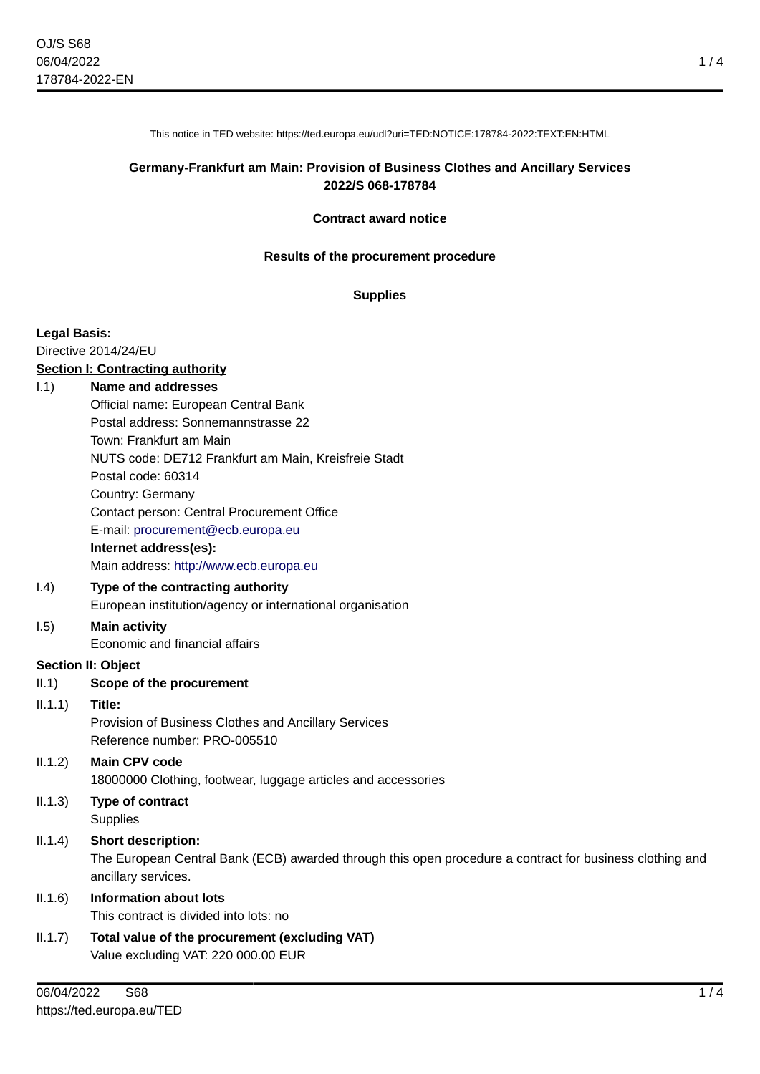This notice in TED website: https://ted.europa.eu/udl?uri=TED:NOTICE:178784-2022:TEXT:EN:HTML

## **Germany-Frankfurt am Main: Provision of Business Clothes and Ancillary Services 2022/S 068-178784**

#### **Contract award notice**

#### **Results of the procurement procedure**

#### **Supplies**

#### **Legal Basis:**

Directive 2014/24/EU

#### **Section I: Contracting authority**

#### I.1) **Name and addresses**

- Official name: European Central Bank Postal address: Sonnemannstrasse 22
	- Town: Frankfurt am Main

NUTS code: DE712 Frankfurt am Main, Kreisfreie Stadt

Postal code: 60314

Country: Germany

Contact person: Central Procurement Office

E-mail: [procurement@ecb.europa.eu](mailto:procurement@ecb.europa.eu)

#### **Internet address(es):**

Main address:<http://www.ecb.europa.eu>

## I.4) **Type of the contracting authority**

European institution/agency or international organisation

# I.5) **Main activity**

Economic and financial affairs

### **Section II: Object**

II.1) **Scope of the procurement**

#### II.1.1) **Title:**

Provision of Business Clothes and Ancillary Services Reference number: PRO-005510

# II.1.2) **Main CPV code** 18000000 Clothing, footwear, luggage articles and accessories

II.1.3) **Type of contract Supplies** 

## II.1.4) **Short description:**

The European Central Bank (ECB) awarded through this open procedure a contract for business clothing and ancillary services.

# II.1.6) **Information about lots**

This contract is divided into lots: no

II.1.7) **Total value of the procurement (excluding VAT)** Value excluding VAT: 220 000.00 EUR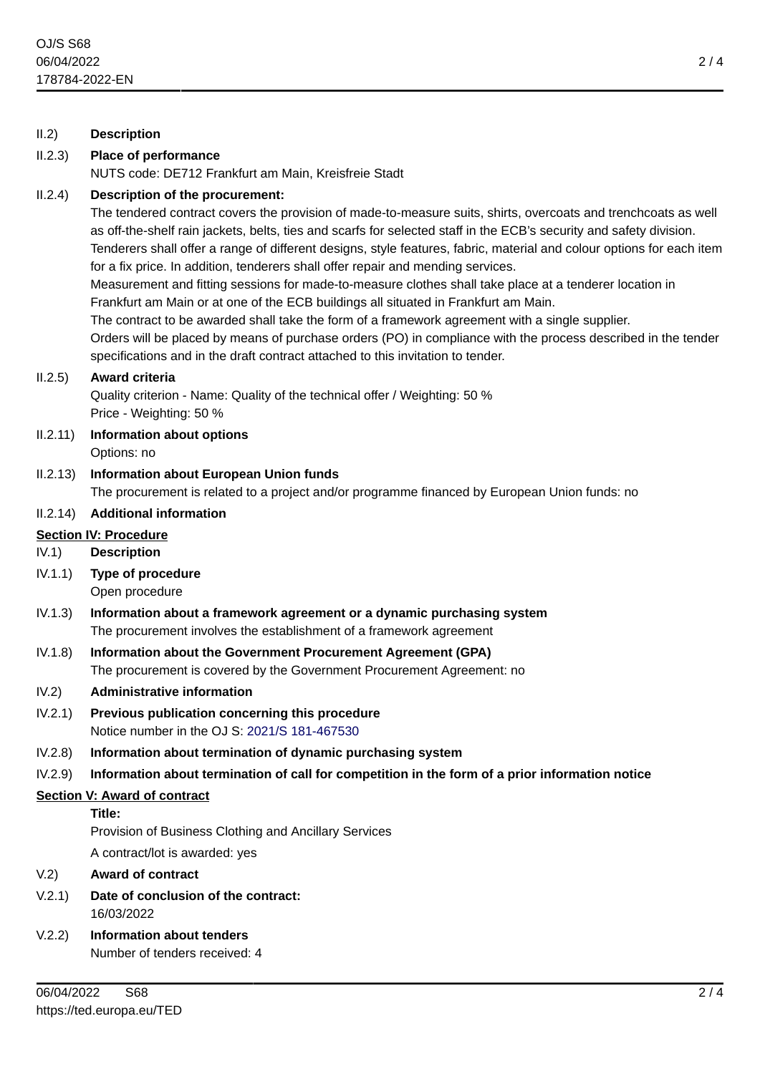# II.2) **Description**

# II.2.3) **Place of performance**

NUTS code: DE712 Frankfurt am Main, Kreisfreie Stadt

## II.2.4) **Description of the procurement:**

The tendered contract covers the provision of made-to-measure suits, shirts, overcoats and trenchcoats as well as off-the-shelf rain jackets, belts, ties and scarfs for selected staff in the ECB's security and safety division. Tenderers shall offer a range of different designs, style features, fabric, material and colour options for each item for a fix price. In addition, tenderers shall offer repair and mending services. Measurement and fitting sessions for made-to-measure clothes shall take place at a tenderer location in Frankfurt am Main or at one of the ECB buildings all situated in Frankfurt am Main.

The contract to be awarded shall take the form of a framework agreement with a single supplier.

Orders will be placed by means of purchase orders (PO) in compliance with the process described in the tender specifications and in the draft contract attached to this invitation to tender.

## II.2.5) **Award criteria**

Quality criterion - Name: Quality of the technical offer / Weighting: 50 % Price - Weighting: 50 %

- II.2.11) **Information about options** Options: no
- II.2.13) **Information about European Union funds**

The procurement is related to a project and/or programme financed by European Union funds: no

# II.2.14) **Additional information**

# **Section IV: Procedure**

IV.1) **Description**

IV.1.1) **Type of procedure**

Open procedure

- IV.1.3) **Information about a framework agreement or a dynamic purchasing system** The procurement involves the establishment of a framework agreement
- IV.1.8) **Information about the Government Procurement Agreement (GPA)** The procurement is covered by the Government Procurement Agreement: no

## IV.2) **Administrative information**

- IV.2.1) **Previous publication concerning this procedure** Notice number in the OJ S: [2021/S 181-467530](https://ted.europa.eu/udl?uri=TED:NOTICE:467530-2021:TEXT:EN:HTML)
- IV.2.8) **Information about termination of dynamic purchasing system**
- IV.2.9) **Information about termination of call for competition in the form of a prior information notice**

## **Section V: Award of contract**

#### **Title:**

Provision of Business Clothing and Ancillary Services

A contract/lot is awarded: yes

## V.2) **Award of contract**

- V.2.1) **Date of conclusion of the contract:** 16/03/2022
- V.2.2) **Information about tenders** Number of tenders received: 4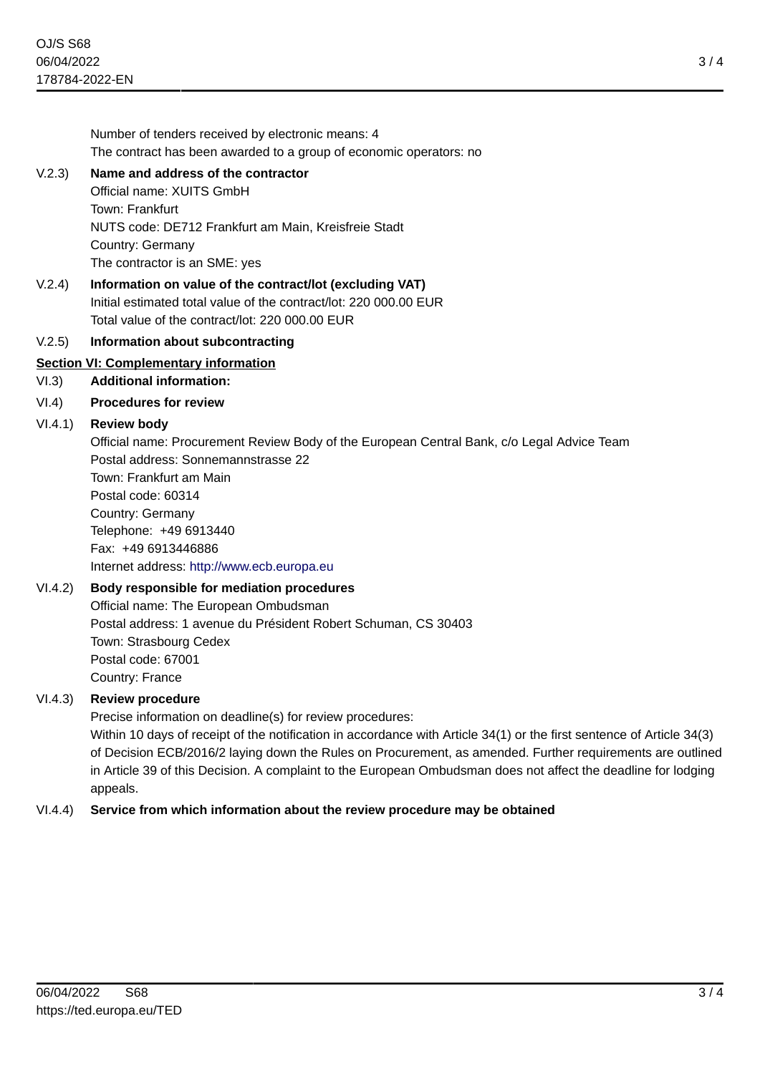Number of tenders received by electronic means: 4 The contract has been awarded to a group of economic operators: no

# V.2.3) **Name and address of the contractor**

Official name: XUITS GmbH Town: Frankfurt NUTS code: DE712 Frankfurt am Main, Kreisfreie Stadt Country: Germany The contractor is an SME: yes

V.2.4) **Information on value of the contract/lot (excluding VAT)** Initial estimated total value of the contract/lot: 220 000.00 EUR Total value of the contract/lot: 220 000.00 EUR

# V.2.5) **Information about subcontracting**

# **Section VI: Complementary information**

VI.3) **Additional information:**

# VI.4) **Procedures for review**

# VI.4.1) **Review body**

Official name: Procurement Review Body of the European Central Bank, c/o Legal Advice Team Postal address: Sonnemannstrasse 22

Town: Frankfurt am Main Postal code: 60314 Country: Germany Telephone: +49 6913440 Fax: +49 6913446886 Internet address: <http://www.ecb.europa.eu>

# VI.4.2) **Body responsible for mediation procedures**

Official name: The European Ombudsman Postal address: 1 avenue du Président Robert Schuman, CS 30403 Town: Strasbourg Cedex Postal code: 67001 Country: France

# VI.4.3) **Review procedure**

Precise information on deadline(s) for review procedures:

Within 10 days of receipt of the notification in accordance with Article 34(1) or the first sentence of Article 34(3) of Decision ECB/2016/2 laying down the Rules on Procurement, as amended. Further requirements are outlined in Article 39 of this Decision. A complaint to the European Ombudsman does not affect the deadline for lodging appeals.

## VI.4.4) **Service from which information about the review procedure may be obtained**